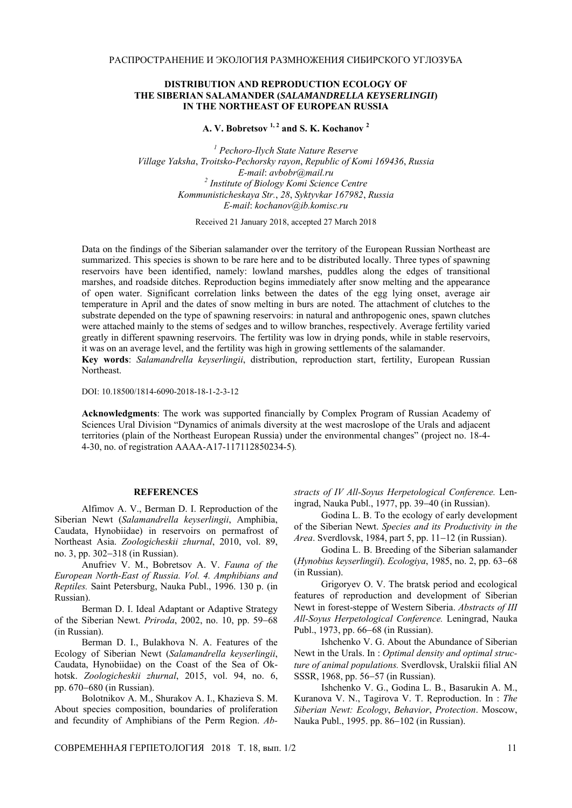## **DISTRIBUTION AND REPRODUCTION ECOLOGY OF THE SIBERIAN SALAMANDER (***SALAMANDRELLA KEYSERLINGII***) IN THE NORTHEAST OF EUROPEAN RUSSIA**

**A. V. Bobretsov 1, 2 and S. K. Kochanov 2**

*1 Pechoro-Ilych State Nature Reserve Village Yaksha*, *Troitsko-Pechorsky rayon*, *Republic of Komi 169436*, *Russia E-mail*: *avbobr*@*mail.ru 2 Institute of Biology Komi Science Centre Kommunisticheskaya Str.*, *28*, *Syktyvkar 167982*, *Russia E-mail*: *kochanov*@*ib.komisc.ru*

Received 21 January 2018, accepted 27 March 2018

Data on the findings of the Siberian salamander over the territory of the European Russian Northeast are summarized. This species is shown to be rare here and to be distributed locally. Three types of spawning reservoirs have been identified, namely: lowland marshes, puddles along the edges of transitional marshes, and roadside ditches. Reproduction begins immediately after snow melting and the appearance of open water. Significant correlation links between the dates of the egg lying onset, average air temperature in April and the dates of snow melting in burs are noted. The attachment of clutches to the substrate depended on the type of spawning reservoirs: in natural and anthropogenic ones, spawn clutches were attached mainly to the stems of sedges and to willow branches, respectively. Average fertility varied greatly in different spawning reservoirs. The fertility was low in drying ponds, while in stable reservoirs, it was on an average level, and the fertility was high in growing settlements of the salamander.

**Key words**: *Salamandrella keyserlingii*, distribution, reproduction start, fertility, European Russian Northeast.

DOI: 10.18500/1814-6090-2018-18-1-2-3-12

**Acknowledgments**: The work was supported financially by Complex Program of Russian Academy of Sciences Ural Division "Dynamics of animals diversity at the west macroslope of the Urals and adjacent territories (plain of the Northeast European Russia) under the environmental changes" (project no. 18-4- 4-30, no. of registration АААА-А17-117112850234-5)*.*

## **REFERENCES**

Alfimov A. V., Berman D. I. Reproduction of the Siberian Newt (*Salamandrella keyserlingii*, Amphibia, Caudata, Hynobiidae) in reservoirs on permafrost of Northeast Asia. *Zoologicheskii zhurnal*, 2010, vol. 89, no. 3, pp. 302−318 (in Russian).

Anufriev V. M., Bobretsov A. V. *Fauna of the European North-East of Russia. Vol. 4. Amphibians and Reptiles.* Saint Petersburg, Nauka Publ., 1996. 130 p. (in Russian).

Berman D. I. Ideal Adaptant or Adaptive Strategy of the Siberian Newt. *Priroda*, 2002, no. 10, pp. 59−68 (in Russian).

Berman D. I., Bulakhova N. A. Features of the Ecology of Siberian Newt (*Salamandrella keyserlingii*, Caudata, Hynobiidae) on the Coast of the Sea of Okhotsk. *Zoologicheskii zhurnal*, 2015, vol. 94, no. 6, pp. 670−680 (in Russian).

Bolotnikov A. M., Shurakov A. I., Khazieva S. M. About species composition, boundaries of proliferation and fecundity of Amphibians of the Perm Region. *Ab-* *stracts of IV All-Soyus Herpetological Conference.* Leningrad, Nauka Publ., 1977, pp. 39−40 (in Russian).

Godina L. B. To the ecology of early development of the Siberian Newt. *Species and its Productivity in the Area*. Sverdlovsk, 1984, part 5, pp. 11−12 (in Russian).

Godina L. B. Breeding of the Siberian salamander (*Hynobius keyserlingii*). *Ecologiya*, 1985, no. 2, pp. 63−68 (in Russian).

Grigoryev O. V. The bratsk period and ecological features of reproduction and development of Siberian Newt in forest-steppe of Western Siberia. *Abstracts of III All-Soyus Herpetological Conference.* Leningrad, Nauka Publ., 1973, pp. 66−68 (in Russian).

Ishchenko V. G. About the Abundance of Siberian Newt in the Urals. In : *Optimal density and optimal structure of animal populations.* Sverdlovsk, Uralskii filial AN SSSR, 1968, pp. 56−57 (in Russian).

Ishchenko V. G., Godina L. B., Basarukin A. M., Kuranova V. N., Tagirova V. T. Reproduction. In : *The Siberian Newt: Ecology*, *Behavior*, *Protection*. Moscow, Nauka Publ., 1995. pp. 86−102 (in Russian).